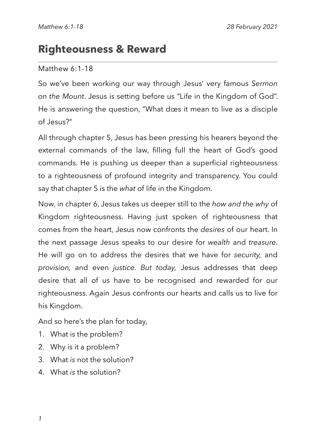# **Righteousness & Reward**

### Matthew 6:1-18

So we've been working our way through Jesus' very famous *Sermon on the Mount*. Jesus is setting before us "Life in the Kingdom of God". He is answering the question, "What does it mean to live as a disciple of Jesus?"

All through chapter 5, Jesus has been pressing his hearers beyond the external commands of the law, filling full the heart of God's good commands. He is pushing us deeper than a superficial righteousness to a righteousness of profound integrity and transparency. You could say that chapter 5 is the *what* of life in the Kingdom.

Now, in chapter 6, Jesus takes us deeper still to the *how and the why* of Kingdom righteousness. Having just spoken of righteousness that comes from the heart, Jesus now confronts the *desires* of our heart. In the next passage Jesus speaks to our desire for *wealth* and *treasure*. He will go on to address the desires that we have for *security,* and *provision,* and even *justice. But today,* Jesus addresses that deep desire that all of us have to be recognised and rewarded for our righteousness. Again Jesus confronts our hearts and calls us to live for his Kingdom.

And so here's the plan for today,

- 1. What is the problem?
- 2. Why is it a problem?
- 3. What *is* not the solution?
- 4. What *is* the solution?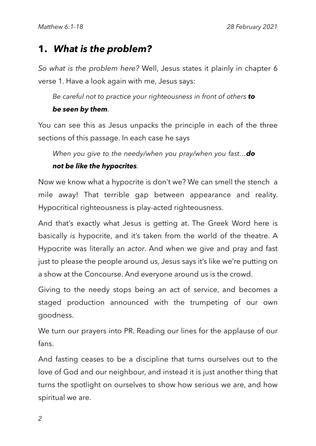### **1.** *What is the problem?*

*So what is the problem here?* Well, Jesus states it plainly in chapter 6 verse 1. Have a look again with me, Jesus says:

*Be careful not to practice your righteousness in front of others to* 

#### *be seen by them.*

You can see this as Jesus unpacks the principle in each of the three sections of this passage. In each case he says

*When you give to the needy/when you pray/when you fast…do* 

#### *not be like the hypocrites.*

Now we know what a hypocrite is don't we? We can smell the stench a mile away! That terrible gap between appearance and reality. Hypocritical righteousness is play-acted righteousness.

And that's exactly what Jesus is getting at. The Greek Word here is basically *is* hypocrite, and it's taken from the world of the theatre. A Hypocrite was literally an *actor*. And when we give and pray and fast just to please the people around us, Jesus says it's like we're putting on a show at the Concourse. And everyone around us is the crowd.

Giving to the needy stops being an act of service, and becomes a staged production announced with the trumpeting of our own goodness.

We turn our prayers into PR. Reading our lines for the applause of our fans.

And fasting ceases to be a discipline that turns ourselves out to the love of God and our neighbour, and instead it is just another thing that turns the spotlight on ourselves to show how serious we are, and how spiritual we are.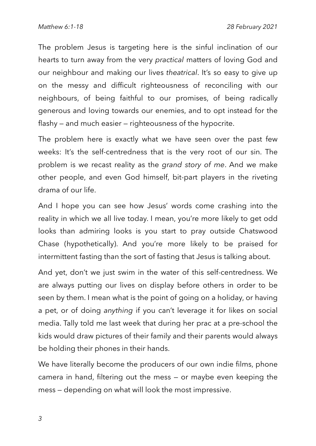The problem Jesus is targeting here is the sinful inclination of our hearts to turn away from the very *practical* matters of loving God and our neighbour and making our lives *theatrical*. It's so easy to give up on the messy and difficult righteousness of reconciling with our neighbours, of being faithful to our promises, of being radically generous and loving towards our enemies, and to opt instead for the flashy — and much easier — righteousness of the hypocrite.

The problem here is exactly what we have seen over the past few weeks: It's the self-centredness that is the very root of our sin. The problem is we recast reality as the *grand story of me*. And we make other people, and even God himself, bit-part players in the riveting drama of our life.

And I hope you can see how Jesus' words come crashing into the reality in which we all live today. I mean, you're more likely to get odd looks than admiring looks is you start to pray outside Chatswood Chase (hypothetically). And you're more likely to be praised for intermittent fasting than the sort of fasting that Jesus is talking about.

And yet, don't we just swim in the water of this self-centredness. We are always putting our lives on display before others in order to be seen by them. I mean what is the point of going on a holiday, or having a pet, or of doing *anything* if you can't leverage it for likes on social media. Tally told me last week that during her prac at a pre-school the kids would draw pictures of their family and their parents would always be holding their phones in their hands.

We have literally become the producers of our own indie films, phone camera in hand, filtering out the mess — or maybe even keeping the mess — depending on what will look the most impressive.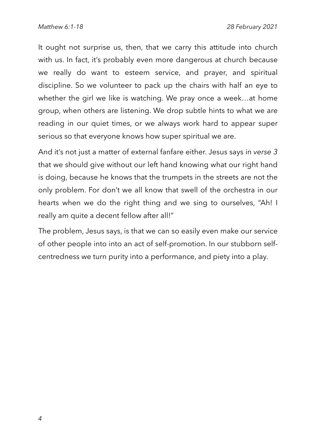It ought not surprise us, then, that we carry this attitude into church with us. In fact, it's probably even more dangerous at church because we really do want to esteem service, and prayer, and spiritual discipline. So we volunteer to pack up the chairs with half an eye to whether the girl we like is watching. We pray once a week…at home group, when others are listening. We drop subtle hints to what we are reading in our quiet times, or we always work hard to appear super serious so that everyone knows how super spiritual we are.

And it's not just a matter of external fanfare either. Jesus says in *verse 3*  that we should give without our left hand knowing what our right hand is doing, because he knows that the trumpets in the streets are not the only problem. For don't we all know that swell of the orchestra in our hearts when we do the right thing and we sing to ourselves, "Ah! I really am quite a decent fellow after all!"

The problem, Jesus says, is that we can so easily even make our service of other people into into an act of self-promotion. In our stubborn selfcentredness we turn purity into a performance, and piety into a play.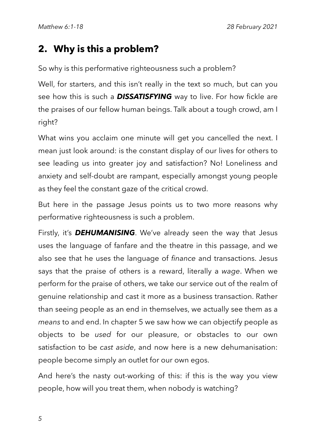## **2. Why is this a problem?**

So why is this performative righteousness such a problem?

Well, for starters, and this isn't really in the text so much, but can you see how this is such a *DISSATISFYING* way to live. For how fickle are the praises of our fellow human beings. Talk about a tough crowd, am I right?

What wins you acclaim one minute will get you cancelled the next. I mean just look around: is the constant display of our lives for others to see leading us into greater joy and satisfaction? No! Loneliness and anxiety and self-doubt are rampant, especially amongst young people as they feel the constant gaze of the critical crowd.

But here in the passage Jesus points us to two more reasons why performative righteousness is such a problem.

Firstly, it's *DEHUMANISING*. We've already seen the way that Jesus uses the language of fanfare and the theatre in this passage, and we also see that he uses the language of *finance* and transactions. Jesus says that the praise of others is a reward, literally a *wage*. When we perform for the praise of others, we take our service out of the realm of genuine relationship and cast it more as a business transaction. Rather than seeing people as an end in themselves, we actually see them as a *means* to and end. In chapter 5 we saw how we can objectify people as objects to be *used* for our pleasure, or obstacles to our own satisfaction to be *cast aside*, and now here is a new dehumanisation: people become simply an outlet for our own egos.

And here's the nasty out-working of this: if this is the way you view people, how will you treat them, when nobody is watching?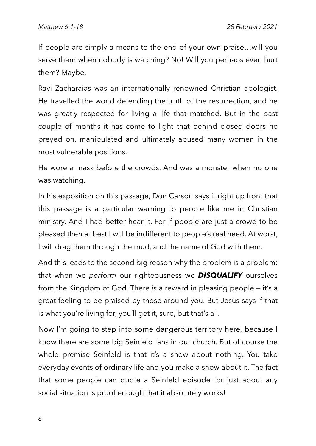If people are simply a means to the end of your own praise…will you serve them when nobody is watching? No! Will you perhaps even hurt them? Maybe.

Ravi Zacharaias was an internationally renowned Christian apologist. He travelled the world defending the truth of the resurrection, and he was greatly respected for living a life that matched. But in the past couple of months it has come to light that behind closed doors he preyed on, manipulated and ultimately abused many women in the most vulnerable positions.

He wore a mask before the crowds. And was a monster when no one was watching.

In his exposition on this passage, Don Carson says it right up front that this passage is a particular warning to people like me in Christian ministry. And I had better hear it. For if people are just a crowd to be pleased then at best I will be indifferent to people's real need. At worst, I will drag them through the mud, and the name of God with them.

And this leads to the second big reason why the problem is a problem: that when we *perform* our righteousness we *DISQUALIFY* ourselves from the Kingdom of God. There *is* a reward in pleasing people — it's a great feeling to be praised by those around you. But Jesus says if that is what you're living for, you'll get it, sure, but that's all.

Now I'm going to step into some dangerous territory here, because I know there are some big Seinfeld fans in our church. But of course the whole premise Seinfeld is that it's a show about nothing. You take everyday events of ordinary life and you make a show about it. The fact that some people can quote a Seinfeld episode for just about any social situation is proof enough that it absolutely works!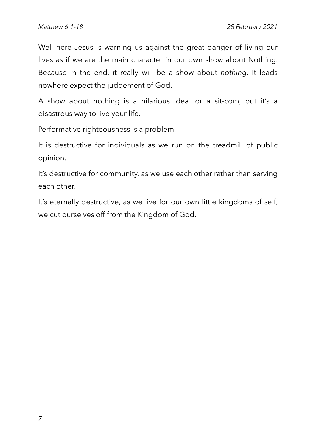Well here Jesus is warning us against the great danger of living our lives as if we are the main character in our own show about Nothing. Because in the end, it really will be a show about *nothing*. It leads nowhere expect the judgement of God.

A show about nothing is a hilarious idea for a sit-com, but it's a disastrous way to live your life.

Performative righteousness is a problem.

It is destructive for individuals as we run on the treadmill of public opinion.

It's destructive for community, as we use each other rather than serving each other.

It's eternally destructive, as we live for our own little kingdoms of self, we cut ourselves off from the Kingdom of God.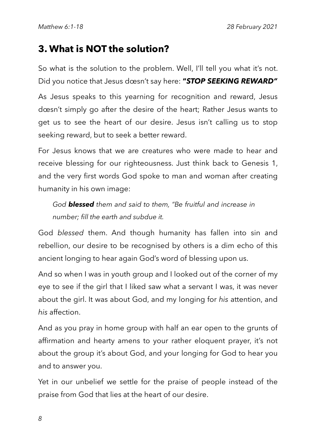## **3. What is NOT the solution?**

So what is the solution to the problem. Well, I'll tell you what it's not. Did you notice that Jesus doesn't say here: **"***STOP SEEKING REWARD"*

As Jesus speaks to this yearning for recognition and reward, Jesus doesn't simply go after the desire of the heart; Rather Jesus wants to get us to see the heart of our desire. Jesus isn't calling us to stop seeking reward, but to seek a better reward.

For Jesus knows that we are creatures who were made to hear and receive blessing for our righteousness. Just think back to Genesis 1, and the very first words God spoke to man and woman after creating humanity in his own image:

*God blessed them and said to them, "Be fruitful and increase in number; fill the earth and subdue it.*

God *blessed* them. And though humanity has fallen into sin and rebellion, our desire to be recognised by others is a dim echo of this ancient longing to hear again God's word of blessing upon us.

And so when I was in youth group and I looked out of the corner of my eye to see if the girl that I liked saw what a servant I was, it was never about the girl. It was about God, and my longing for *his* attention, and *his* affection.

And as you pray in home group with half an ear open to the grunts of affirmation and hearty amens to your rather eloquent prayer, it's not about the group it's about God, and your longing for God to hear you and to answer you.

Yet in our unbelief we settle for the praise of people instead of the praise from God that lies at the heart of our desire.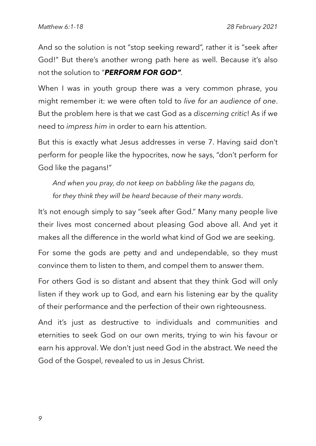And so the solution is not "stop seeking reward", rather it is "seek after God!" But there's another wrong path here as well. Because it's also not the solution to "*PERFORM FOR GOD".*

When I was in youth group there was a very common phrase, you might remember it: we were often told to *live for an audience of one*. But the problem here is that we cast God as a *discerning critic*! As if we need to *impress him* in order to earn his attention.

But this is exactly what Jesus addresses in verse 7. Having said don't perform for people like the hypocrites, now he says, "don't perform for God like the pagans!"

*And when you pray, do not keep on babbling like the pagans do, for they think they will be heard because of their many words*.

It's not enough simply to say "seek after God." Many many people live their lives most concerned about pleasing God above all. And yet it makes all the difference in the world what kind of God we are seeking.

For some the gods are petty and and undependable, so they must convince them to listen to them, and compel them to answer them.

For others God is so distant and absent that they think God will only listen if they work up to God, and earn his listening ear by the quality of their performance and the perfection of their own righteousness.

And it's just as destructive to individuals and communities and eternities to seek God on our own merits, trying to win his favour or earn his approval. We don't just need God in the abstract. We need the God of the Gospel, revealed to us in Jesus Christ.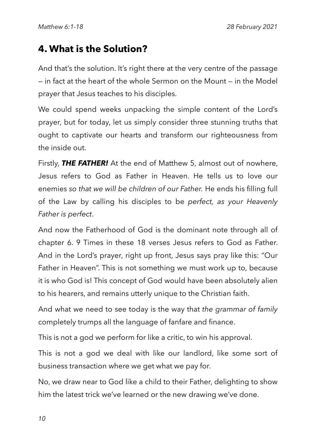### **4. What is the Solution?**

And that's the solution. It's right there at the very centre of the passage — in fact at the heart of the whole Sermon on the Mount — in the Model prayer that Jesus teaches to his disciples.

We could spend weeks unpacking the simple content of the Lord's prayer, but for today, let us simply consider three stunning truths that ought to captivate our hearts and transform our righteousness from the inside out.

Firstly, *THE FATHER!* At the end of Matthew 5, almost out of nowhere, Jesus refers to God as Father in Heaven. He tells us to love our enemies *so that we will be children of our Father.* He ends his filling full of the Law by calling his disciples to be *perfect, as your Heavenly Father is perfect*.

And now the Fatherhood of God is the dominant note through all of chapter 6. 9 Times in these 18 verses Jesus refers to God as Father. And in the Lord's prayer, right up front, Jesus says pray like this: "Our Father in Heaven". This is not something we must work up to, because it is who God is! This concept of God would have been absolutely alien to his hearers, and remains utterly unique to the Christian faith.

And what we need to see today is the way that *the grammar of family* completely trumps all the language of fanfare and finance.

This is not a god we perform for like a critic, to win his approval.

This is not a god we deal with like our landlord, like some sort of business transaction where we get what we pay for.

No, we draw near to God like a child to their Father, delighting to show him the latest trick we've learned or the new drawing we've done.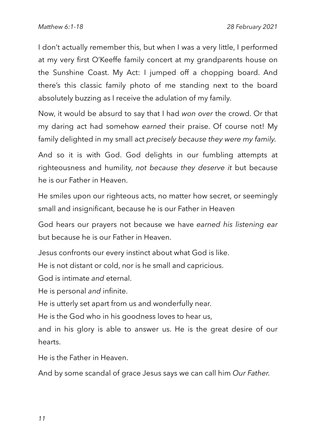I don't actually remember this, but when I was a very little, I performed at my very first O'Keeffe family concert at my grandparents house on the Sunshine Coast. My Act: I jumped off a chopping board. And there's this classic family photo of me standing next to the board absolutely buzzing as I receive the adulation of my family.

Now, it would be absurd to say that I had *won over* the crowd. Or that my daring act had somehow *earned* their praise. Of course not! My family delighted in my small act *precisely because they were my family.*

And so it is with God. God delights in our fumbling attempts at righteousness and humility, *not because they deserve it* but because he is our Father in Heaven.

He smiles upon our righteous acts, no matter how secret, or seemingly small and insignificant, because he is our Father in Heaven

God hears our prayers not because we have *earned his listening ear* but because he is our Father in Heaven.

Jesus confronts our every instinct about what God is like.

He is not distant or cold, nor is he small and capricious.

God is intimate *and* eternal.

He is personal *and* infinite.

He is utterly set apart from us and wonderfully near.

He is the God who in his goodness loves to hear us,

and in his glory is able to answer us. He is the great desire of our hearts.

He is the Father in Heaven.

And by some scandal of grace Jesus says we can call him *Our Father.*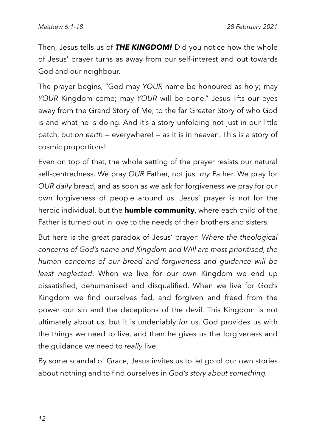Then, Jesus tells us of *THE KINGDOM!* Did you notice how the whole of Jesus' prayer turns as away from our self-interest and out towards God and our neighbour.

The prayer begins, "God may *YOUR* name be honoured as holy; may *YOUR* Kingdom come; may *YOUR* will be done." Jesus lifts our eyes away from the Grand Story of Me, to the far Greater Story of who God is and what he is doing. And it's a story unfolding not just in our little patch, but *on earth* — everywhere! — as it is in heaven. This is a story of cosmic proportions!

Even on top of that, the whole setting of the prayer resists our natural self-centredness. We pray *OUR* Father, not just *my* Father. We pray for *OUR daily* bread, and as soon as we ask for forgiveness we pray for our own forgiveness of people around us. Jesus' prayer is not for the heroic individual, but the **humble community**, where each child of the Father is turned out in love to the needs of their brothers and sisters.

But here is the great paradox of Jesus' prayer: *Where the theological concerns of God's name and Kingdom and Will are most prioritised, the human concerns of our bread and forgiveness and guidance will be least neglected*. When we live for our own Kingdom we end up dissatisfied, dehumanised and disqualified. When we live for God's Kingdom we find ourselves fed, and forgiven and freed from the power our sin and the deceptions of the devil. This Kingdom is not ultimately about us, but it is undeniably *for* us. God provides us with the things we need to live, and then he gives us the forgiveness and the guidance we need to *really* live.

By some scandal of Grace, Jesus invites us to let go of our own stories about nothing and to find ourselves in *God's story about something.*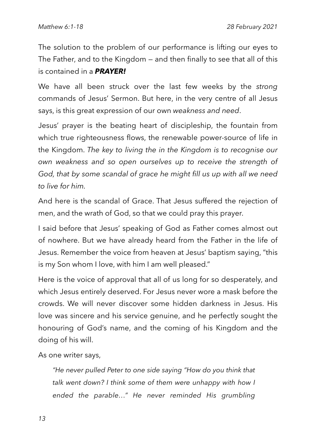The solution to the problem of our performance is lifting our eyes to The Father, and to the Kingdom — and then finally to see that all of this is contained in a *PRAYER!*

We have all been struck over the last few weeks by the *strong* commands of Jesus' Sermon. But here, in the very centre of all Jesus says, is this great expression of our own *weakness and need*.

Jesus' prayer is the beating heart of discipleship, the fountain from which true righteousness flows, the renewable power-source of life in the Kingdom. *The key to living the in the Kingdom is to recognise our own weakness and so open ourselves up to receive the strength of God, that by some scandal of grace he might fill us up with all we need to live for him.*

And here is the scandal of Grace. That Jesus suffered the rejection of men, and the wrath of God, so that we could pray this prayer.

I said before that Jesus' speaking of God as Father comes almost out of nowhere. But we have already heard from the Father in the life of Jesus. Remember the voice from heaven at Jesus' baptism saying, "this is my Son whom I love, with him I am well pleased."

Here is the voice of approval that all of us long for so desperately, and which Jesus entirely deserved. For Jesus never wore a mask before the crowds. We will never discover some hidden darkness in Jesus. His love was sincere and his service genuine, and he perfectly sought the honouring of God's name, and the coming of his Kingdom and the doing of his will.

As one writer says,

*"He never pulled Peter to one side saying "How do you think that talk went down? I think some of them were unhappy with how I ended the parable…" He never reminded His grumbling*